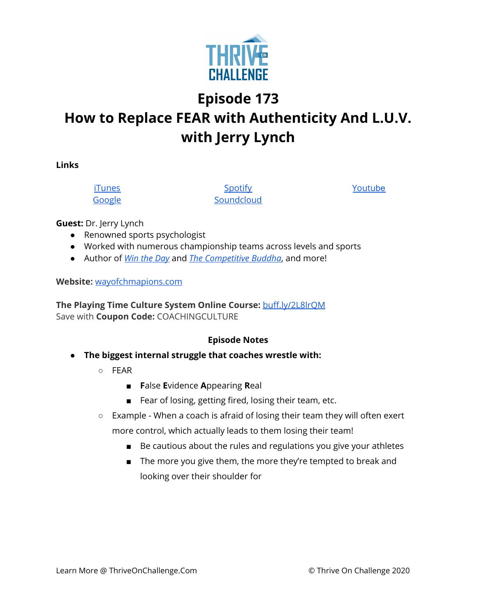

# **Episode 173 How to Replace FEAR with Authenticity And L.U.V. with Jerry Lynch**

**Links**

[iTunes](https://podcasts.apple.com/us/podcast/coaching-culture/id1286560192) [Google](https://podcasts.google.com/feed/aHR0cHM6Ly9mZWVkcy5zb3VuZGNsb3VkLmNvbS91c2Vycy9zb3VuZGNsb3VkOnVzZXJzOjQxMDQyNzcvc291bmRzLnJzcw?ved=2ahUKEwiSpYquy9vqAhVbQUEAHSAkC88Q4aUDegQIARAC)

**[Spotify](https://open.spotify.com/show/336Hs8udk8s0yXuK3BzSOq) [Soundcloud](https://soundcloud.com/thriveonchallenge)**  [Youtu](https://www.youtube.com/channel/UC3vIljCBzwHcPyVIx9kiHvw)[be](https://www.youtube.com/channel/UC3vIljCBzwHcPyVIx9kiHvw)

**Guest:** Dr. Jerry Lynch

- Renowned sports psychologist
- Worked with numerous championship teams across levels and sports
- Author of *Win the [Day](https://www.amazon.com/Win-Day-Jerry-Lynch/dp/1606794779)* and *The [Competitive](https://www.amazon.com/Competitive-Buddha-Your-Sports-Leadership/dp/1642505897/ref=sr_1_1?dchild=1&keywords=the+competitive+buddha&qid=1608058323&s=books&sr=1-1) Buddha*, and more!

#### **Website:** [wayofchmapions.com](http://wayofchampions.com/)

**The Playing Time Culture System Online Course:** [buff.ly/2L8lrQM](https://gate.sc/?url=http%3A%2F%2Fbuff.ly%2F2L8lrQM&token=32ca9-1-1607437698203) Save with **Coupon Code:** COACHINGCULTURE

#### **Episode Notes**

- **● The biggest internal struggle that coaches wrestle with:**
	- FEAR
		- **F**alse **E**vidence **A**ppearing **R**eal
		- Fear of losing, getting fired, losing their team, etc.
	- Example When a coach is afraid of losing their team they will often exert more control, which actually leads to them losing their team!
		- Be cautious about the rules and regulations you give your athletes
		- The more you give them, the more they're tempted to break and looking over their shoulder for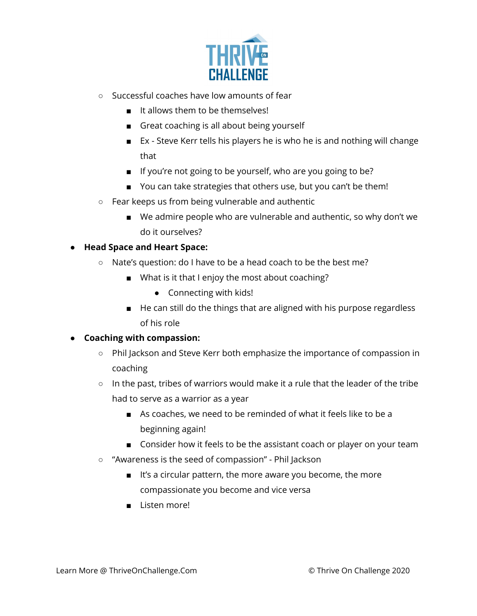

- Successful coaches have low amounts of fear
	- It allows them to be themselves!
	- Great coaching is all about being yourself
	- Ex Steve Kerr tells his players he is who he is and nothing will change that
	- If you're not going to be yourself, who are you going to be?
	- You can take strategies that others use, but you can't be them!
- Fear keeps us from being vulnerable and authentic
	- We admire people who are vulnerable and authentic, so why don't we do it ourselves?

## **● Head Space and Heart Space:**

- Nate's question: do I have to be a head coach to be the best me?
	- What is it that I enjoy the most about coaching?
		- Connecting with kids!
	- He can still do the things that are aligned with his purpose regardless of his role

#### **● Coaching with compassion:**

- Phil Jackson and Steve Kerr both emphasize the importance of compassion in coaching
- $\circ$  In the past, tribes of warriors would make it a rule that the leader of the tribe had to serve as a warrior as a year
	- As coaches, we need to be reminded of what it feels like to be a beginning again!
	- Consider how it feels to be the assistant coach or player on your team
- "Awareness is the seed of compassion" Phil Jackson
	- It's a circular pattern, the more aware you become, the more compassionate you become and vice versa
	- Listen more!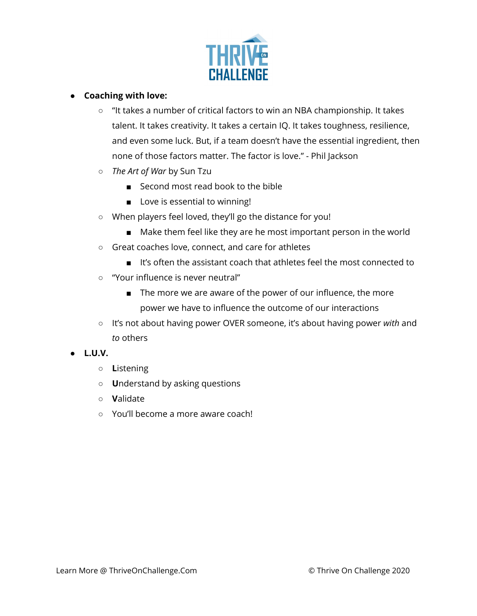

## **● Coaching with love:**

- "It takes a number of critical factors to win an NBA championship. It takes talent. It takes creativity. It takes a certain IQ. It takes toughness, resilience, and even some luck. But, if a team doesn't have the essential ingredient, then none of those factors matter. The factor is love." - Phil Jackson
- *○ The Art of War* by Sun Tzu
	- Second most read book to the bible
	- Love is essential to winning!
- When players feel loved, they'll go the distance for you!
	- Make them feel like they are he most important person in the world
- Great coaches love, connect, and care for athletes
	- It's often the assistant coach that athletes feel the most connected to
- "Your influence is never neutral"
	- The more we are aware of the power of our influence, the more power we have to influence the outcome of our interactions
- It's not about having power OVER someone, it's about having power *with* and *to* others

# **● L.U.V.**

- **L**istening
- **U**nderstand by asking questions
- **V**alidate
- You'll become a more aware coach!